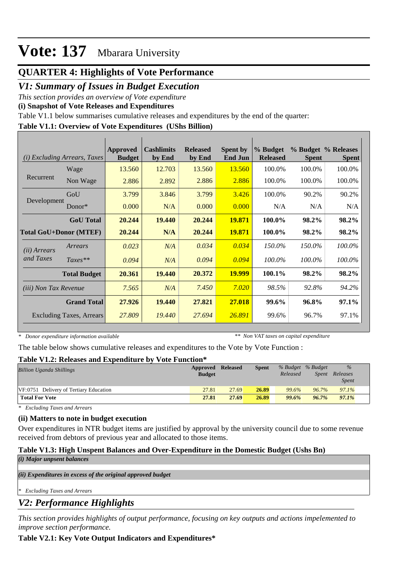# **QUARTER 4: Highlights of Vote Performance**

# *V1: Summary of Issues in Budget Execution*

*This section provides an overview of Vote expenditure* 

**(i) Snapshot of Vote Releases and Expenditures**

Table V1.1 below summarises cumulative releases and expenditures by the end of the quarter:

## **Table V1.1: Overview of Vote Expenditures (UShs Billion)**

| <b>Excluding Arrears, Taxes</b><br>(i) |                                 | Approved<br><b>Budget</b> | <b>Cashlimits</b><br>by End | <b>Released</b><br>by End | <b>Spent by</b><br><b>End Jun</b> | % Budget<br><b>Released</b> | <b>Spent</b> | % Budget % Releases<br><b>Spent</b> |
|----------------------------------------|---------------------------------|---------------------------|-----------------------------|---------------------------|-----------------------------------|-----------------------------|--------------|-------------------------------------|
|                                        | Wage                            | 13.560                    | 12.703                      | 13.560                    | 13.560                            | 100.0%                      | 100.0%       | 100.0%                              |
| Recurrent                              | Non Wage                        | 2.886                     | 2.892                       | 2.886                     | 2.886                             | 100.0%                      | 100.0%       | 100.0%                              |
|                                        | GoU                             | 3.799                     | 3.846                       | 3.799                     | 3.426                             | 100.0%                      | 90.2%        | 90.2%                               |
| Development                            | $Donor*$                        | 0.000                     | N/A                         | 0.000                     | 0.000                             | N/A                         | N/A          | N/A                                 |
|                                        | <b>GoU</b> Total                | 20.244                    | 19.440                      | 20.244                    | 19.871                            | 100.0%                      | 98.2%        | 98.2%                               |
|                                        | <b>Total GoU+Donor (MTEF)</b>   | 20.244                    | N/A                         | 20.244                    | 19.871                            | 100.0%                      | 98.2%        | 98.2%                               |
| ( <i>ii</i> ) Arrears                  | Arrears                         | 0.023                     | N/A                         | 0.034                     | 0.034                             | 150.0%                      | 150.0%       | 100.0%                              |
| and Taxes                              | $Taxes**$                       | 0.094                     | N/A                         | 0.094                     | 0.094                             | 100.0%                      | 100.0%       | 100.0%                              |
|                                        | <b>Total Budget</b>             | 20.361                    | 19.440                      | 20.372                    | <b>19.999</b>                     | $100.1\%$                   | 98.2%        | 98.2%                               |
| (iii) Non Tax Revenue                  |                                 | 7.565                     | N/A                         | 7.450                     | 7.020                             | 98.5%                       | 92.8%        | 94.2%                               |
|                                        | <b>Grand Total</b>              | 27.926                    | 19.440                      | 27.821                    | 27,018                            | 99.6%                       | 96.8%        | 97.1%                               |
|                                        | <b>Excluding Taxes, Arrears</b> | 27.809                    | 19.440                      | 27.694                    | 26.891                            | 99.6%                       | 96.7%        | 97.1%                               |

*\* Donor expenditure information available*

*\*\* Non VAT taxes on capital expenditure*

The table below shows cumulative releases and expenditures to the Vote by Vote Function :

### **Table V1.2: Releases and Expenditure by Vote Function\***

| Approved      |       | <b>Spent</b>    |          |          | $\%$              |  |
|---------------|-------|-----------------|----------|----------|-------------------|--|
| <b>Budget</b> |       |                 | Released | Spent    | Releases          |  |
|               |       |                 |          |          | <i>Spent</i>      |  |
| 27.81         | 27.69 | 26.89           | 99.6%    | $96.7\%$ | 97.1%             |  |
| 27.81         | 27.69 | 26.89           | 99.6%    | 96.7%    | 97.1%             |  |
|               |       | <b>Released</b> |          |          | % Budget % Budget |  |

*\* Excluding Taxes and Arrears*

### **(ii) Matters to note in budget execution**

Over expenditures in NTR budget items are justified by approval by the university council due to some revenue received from debtors of previous year and allocated to those items.

## **Table V1.3: High Unspent Balances and Over-Expenditure in the Domestic Budget (Ushs Bn)**

| (i) Major unpsent balances |
|----------------------------|
|----------------------------|

*(ii) Expenditures in excess of the original approved budget*

*\* Excluding Taxes and Arrears*

# *V2: Performance Highlights*

*This section provides highlights of output performance, focusing on key outputs and actions impelemented to improve section performance.*

## **Table V2.1: Key Vote Output Indicators and Expenditures\***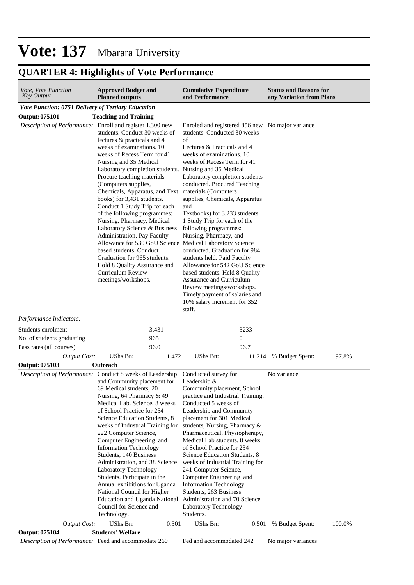# **QUARTER 4: Highlights of Vote Performance**

| <i>Vote, Vote Function</i><br>Key Output                               | <b>Approved Budget and</b><br><b>Planned outputs</b>                                                                                                                                                                                                                                                                                                                                                                                                                                                                                                                                                                                                          |        | <b>Cumulative Expenditure</b><br>and Performance                                                                                                                                                                                                                                                                                                                                                                                                                                                                                                                                                                                                                                                                                                       | <b>Status and Reasons for</b><br>any Variation from Plans |
|------------------------------------------------------------------------|---------------------------------------------------------------------------------------------------------------------------------------------------------------------------------------------------------------------------------------------------------------------------------------------------------------------------------------------------------------------------------------------------------------------------------------------------------------------------------------------------------------------------------------------------------------------------------------------------------------------------------------------------------------|--------|--------------------------------------------------------------------------------------------------------------------------------------------------------------------------------------------------------------------------------------------------------------------------------------------------------------------------------------------------------------------------------------------------------------------------------------------------------------------------------------------------------------------------------------------------------------------------------------------------------------------------------------------------------------------------------------------------------------------------------------------------------|-----------------------------------------------------------|
| Vote Function: 0751 Delivery of Tertiary Education                     |                                                                                                                                                                                                                                                                                                                                                                                                                                                                                                                                                                                                                                                               |        |                                                                                                                                                                                                                                                                                                                                                                                                                                                                                                                                                                                                                                                                                                                                                        |                                                           |
| <b>Output: 075101</b>                                                  | <b>Teaching and Training</b>                                                                                                                                                                                                                                                                                                                                                                                                                                                                                                                                                                                                                                  |        |                                                                                                                                                                                                                                                                                                                                                                                                                                                                                                                                                                                                                                                                                                                                                        |                                                           |
| Description of Performance: Enroll and register 1,300 new              | students. Conduct 30 weeks of<br>lectures & practicals and 4<br>weeks of examinations. 10<br>weeks of Recess Term for 41<br>Nursing and 35 Medical<br>Laboratory completion students. Nursing and 35 Medical<br>Procure teaching materials<br>(Computers supplies,<br>Chemicals, Apparatus, and Text materials (Computers<br>books) for 3,431 students.<br>Conduct 1 Study Trip for each<br>of the following programmes:<br>Nursing, Pharmacy, Medical<br>Laboratory Science & Business<br>Administration. Pay Faculty<br>based students. Conduct<br>Graduation for 965 students.<br>Hold 8 Quality Assurance and<br>Curriculum Review<br>meetings/workshops. |        | Enroled and registered 856 new No major variance<br>students. Conducted 30 weeks<br>of<br>Lectures & Practicals and 4<br>weeks of examinations. 10<br>weeks of Recess Term for 41<br>Laboratory completion students<br>conducted. Procured Teaching<br>supplies, Chemicals, Apparatus<br>and<br>Textbooks) for 3,233 students.<br>1 Study Trip for each of the<br>following programmes:<br>Nursing, Pharmacy, and<br>Allowance for 530 GoU Science Medical Laboratory Science<br>conducted. Graduation for 984<br>students held. Paid Faculty<br>Allowance for 542 GoU Science<br>based students. Held 8 Quality<br>Assurance and Curriculum<br>Review meetings/workshops.<br>Timely payment of salaries and<br>10% salary increment for 352<br>staff. |                                                           |
| Performance Indicators:                                                |                                                                                                                                                                                                                                                                                                                                                                                                                                                                                                                                                                                                                                                               |        |                                                                                                                                                                                                                                                                                                                                                                                                                                                                                                                                                                                                                                                                                                                                                        |                                                           |
| Students enrolment                                                     | 3,431                                                                                                                                                                                                                                                                                                                                                                                                                                                                                                                                                                                                                                                         |        | 3233                                                                                                                                                                                                                                                                                                                                                                                                                                                                                                                                                                                                                                                                                                                                                   |                                                           |
| No. of students graduating                                             | 965                                                                                                                                                                                                                                                                                                                                                                                                                                                                                                                                                                                                                                                           |        | $\boldsymbol{0}$                                                                                                                                                                                                                                                                                                                                                                                                                                                                                                                                                                                                                                                                                                                                       |                                                           |
| Pass rates (all courses)                                               | 96.0                                                                                                                                                                                                                                                                                                                                                                                                                                                                                                                                                                                                                                                          |        | 96.7                                                                                                                                                                                                                                                                                                                                                                                                                                                                                                                                                                                                                                                                                                                                                   |                                                           |
| <b>Output Cost:</b>                                                    | UShs Bn:                                                                                                                                                                                                                                                                                                                                                                                                                                                                                                                                                                                                                                                      | 11.472 | UShs Bn:<br>11.214                                                                                                                                                                                                                                                                                                                                                                                                                                                                                                                                                                                                                                                                                                                                     | % Budget Spent:<br>97.8%                                  |
| Output: 075103                                                         | Outreach                                                                                                                                                                                                                                                                                                                                                                                                                                                                                                                                                                                                                                                      |        |                                                                                                                                                                                                                                                                                                                                                                                                                                                                                                                                                                                                                                                                                                                                                        |                                                           |
| Description of Performance: Conduct 8 weeks of Leadership              | and Community placement for<br>69 Medical students, 20<br>Nursing, 64 Pharmacy & 49<br>Medical Lab. Science, 8 weeks<br>of School Practice for 254<br>Science Education Students, 8<br>weeks of Industrial Training for<br>222 Computer Science,<br>Computer Engineering and<br><b>Information Technology</b><br>Students, 140 Business<br>Administration, and 38 Science<br>Laboratory Technology<br>Students. Participate in the<br>Annual exhibitions for Uganda<br>National Council for Higher<br>Education and Uganda National<br>Council for Science and<br>Technology.                                                                                 |        | Conducted survey for<br>Leadership &<br>Community placement, School<br>practice and Industrial Training.<br>Conducted 5 weeks of<br>Leadership and Community<br>placement for 301 Medical<br>students, Nursing, Pharmacy &<br>Pharmaceutical, Physiopherapy,<br>Medical Lab students, 8 weeks<br>of School Practice for 234<br>Science Education Students, 8<br>weeks of Industrial Training for<br>241 Computer Science,<br>Computer Engineering and<br><b>Information Technology</b><br>Students, 263 Business<br>Administration and 70 Science<br>Laboratory Technology<br>Students.                                                                                                                                                                | No variance                                               |
| <b>Output Cost:</b>                                                    | UShs Bn:                                                                                                                                                                                                                                                                                                                                                                                                                                                                                                                                                                                                                                                      | 0.501  | UShs Bn:<br>0.501                                                                                                                                                                                                                                                                                                                                                                                                                                                                                                                                                                                                                                                                                                                                      | % Budget Spent:<br>100.0%                                 |
| Output: 075104<br>Description of Performance: Feed and accommodate 260 | <b>Students' Welfare</b>                                                                                                                                                                                                                                                                                                                                                                                                                                                                                                                                                                                                                                      |        | Fed and accommodated 242                                                                                                                                                                                                                                                                                                                                                                                                                                                                                                                                                                                                                                                                                                                               | No major variances                                        |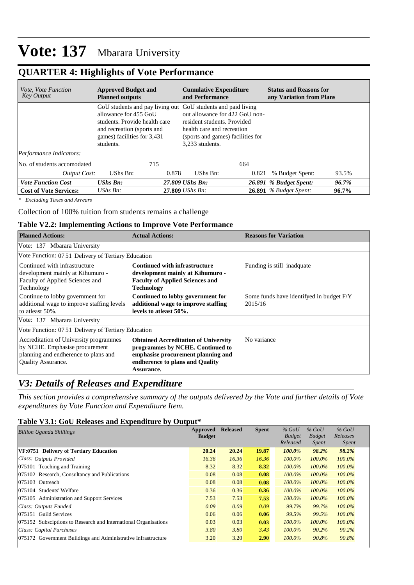# **QUARTER 4: Highlights of Vote Performance**

| <i>Vote, Vote Function</i><br><b>Key Output</b> | <b>Approved Budget and</b><br><b>Planned outputs</b>                                                                             | <b>Cumulative Expenditure</b><br>and Performance                                                                                                                                                                    | <b>Status and Reasons for</b><br>any Variation from Plans |  |  |  |
|-------------------------------------------------|----------------------------------------------------------------------------------------------------------------------------------|---------------------------------------------------------------------------------------------------------------------------------------------------------------------------------------------------------------------|-----------------------------------------------------------|--|--|--|
|                                                 | allowance for 455 GoU<br>students. Provide health care<br>and recreation (sports and<br>games) facilities for 3,431<br>students. | GoU students and pay living out GoU students and paid living<br>out allowance for 422 GoU non-<br>resident students. Provided<br>health care and recreation<br>(sports and games) facilities for<br>3.233 students. |                                                           |  |  |  |
| Performance Indicators:                         |                                                                                                                                  |                                                                                                                                                                                                                     |                                                           |  |  |  |
| No. of students accomodated                     | 715                                                                                                                              | 664                                                                                                                                                                                                                 |                                                           |  |  |  |
| Output Cost:                                    | UShs Bn:                                                                                                                         | 0.878<br>UShs Bn:<br>0.821                                                                                                                                                                                          | 93.5%<br>% Budget Spent:                                  |  |  |  |
| <b>Vote Function Cost</b>                       | $UShs$ $Bn$ :                                                                                                                    | 27.809 UShs Bn:                                                                                                                                                                                                     | 96.7%<br>26.891 % Budget Spent:                           |  |  |  |
| <b>Cost of Vote Services:</b>                   | UShs $Bn$ :                                                                                                                      | $27.809$ UShs Bn:                                                                                                                                                                                                   | <b>26.891</b> % Budget Spent:<br>96.7%                    |  |  |  |

*\* Excluding Taxes and Arrears*

Collection of 100% tuition from students remains a challenge

#### **Table V2.2: Implementing Actions to Improve Vote Performance**

| <b>Planned Actions:</b>                                                                                                                       | <b>Actual Actions:</b>                                                                                                                                                        | <b>Reasons for Variation</b>                        |
|-----------------------------------------------------------------------------------------------------------------------------------------------|-------------------------------------------------------------------------------------------------------------------------------------------------------------------------------|-----------------------------------------------------|
| Vote: 137 Mbarara University                                                                                                                  |                                                                                                                                                                               |                                                     |
| Vote Function: 07.51 Delivery of Tertiary Education                                                                                           |                                                                                                                                                                               |                                                     |
| Continued with infrastructure<br>development mainly at Kihumuro -<br>Faculty of Applied Sciences and<br>Technology                            | <b>Continued with infrastructure</b><br>development mainly at Kihumuro -<br><b>Faculty of Applied Sciences and</b><br><b>Technology</b>                                       | Funding is still inadquate                          |
| Continue to lobby government for<br>additional wage to improve staffing levels<br>to atleast 50%.                                             | Continued to lobby government for<br>additional wage to improve staffing<br>levels to atleast 50%.                                                                            | Some funds have identifyed in budget F/Y<br>2015/16 |
| Vote: 137 Mbarara University                                                                                                                  |                                                                                                                                                                               |                                                     |
| Vote Function: 07.51 Delivery of Tertiary Education                                                                                           |                                                                                                                                                                               |                                                     |
| Accreditation of University programmes<br>by NCHE. Emphasise procurement<br>planning and endherence to plans and<br><b>Quality Assurance.</b> | <b>Obtained Accreditation of University</b><br>programmes by NCHE. Continued to<br>emphasise procurement planning and<br>endherence to plans and Quality<br><b>Assurance.</b> | No variance                                         |

# *V3: Details of Releases and Expenditure*

*This section provides a comprehensive summary of the outputs delivered by the Vote and further details of Vote expenditures by Vote Function and Expenditure Item.*

#### **Table V3.1: GoU Releases and Expenditure by Output\***

| <b>Billion Uganda Shillings</b>                                 | Approved      | <b>Released</b> | <b>Spent</b> | $%$ GoU                   | $%$ GoU                       | $%$ GoU                  |
|-----------------------------------------------------------------|---------------|-----------------|--------------|---------------------------|-------------------------------|--------------------------|
|                                                                 | <b>Budget</b> |                 |              | <b>Budget</b><br>Released | <b>Budget</b><br><i>Spent</i> | Releases<br><i>Spent</i> |
| VF:0751 Delivery of Tertiary Education                          | 20.24         | 20.24           | 19.87        | 100.0%                    | 98.2%                         | 98.2%                    |
| Class: Outputs Provided                                         | 16.36         | 16.36           | 16.36        | $100.0\%$                 | $100.0\%$                     | $100.0\%$                |
| 075101 Teaching and Training                                    | 8.32          | 8.32            | 8.32         | $100.0\%$                 | $100.0\%$                     | 100.0%                   |
| 075102 Research, Consultancy and Publications                   | 0.08          | 0.08            | 0.08         | $100.0\%$                 | $100.0\%$                     | $100.0\%$                |
| 075103 Outreach                                                 | 0.08          | 0.08            | 0.08         | $100.0\%$                 | $100.0\%$                     | $100.0\%$                |
| 075104 Students' Welfare                                        | 0.36          | 0.36            | 0.36         | $100.0\%$                 | $100.0\%$                     | $100.0\%$                |
| 075105 Administration and Support Services                      | 7.53          | 7.53            | 7.53         | $100.0\%$                 | $100.0\%$                     | $100.0\%$                |
| Class: Outputs Funded                                           | 0.09          | 0.09            | 0.09         | 99.7%                     | 99.7%                         | $100.0\%$                |
| 075151 Guild Services                                           | 0.06          | 0.06            | 0.06         | 99.5%                     | 99.5%                         | $100.0\%$                |
| 075152 Subsciptions to Research and International Organisations | 0.03          | 0.03            | 0.03         | $100.0\%$                 | $100.0\%$                     | $100.0\%$                |
| Class: Capital Purchases                                        | 3.80          | 3.80            | 3.43         | $100.0\%$                 | $90.2\%$                      | 90.2%                    |
| 075172 Government Buildings and Administrative Infrastructure   | 3.20          | 3.20            | 2.90         | $100.0\%$                 | 90.8%                         | 90.8%                    |
|                                                                 |               |                 |              |                           |                               |                          |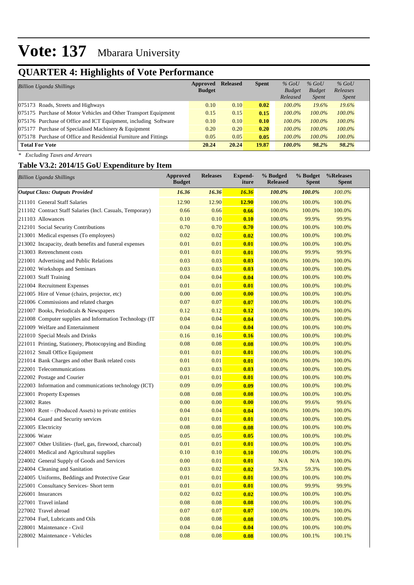# **QUARTER 4: Highlights of Vote Performance**

| <b>Billion Uganda Shillings</b>                                  | Approved<br><b>Budget</b> | <b>Released</b> | <b>Spent</b> | $%$ GoU<br><b>Budget</b><br>Released | $%$ GoU<br><b>Budget</b><br><i>Spent</i> | $%$ GoU<br>Releases<br><i>Spent</i> |  |
|------------------------------------------------------------------|---------------------------|-----------------|--------------|--------------------------------------|------------------------------------------|-------------------------------------|--|
| 075173 Roads, Streets and Highways                               | 0.10                      | 0.10            | 0.02         | $100.0\%$                            | 19.6%                                    | 19.6%                               |  |
| 075175 Purchase of Motor Vehicles and Other Transport Equipment  | 0.15                      | 0.15            | 0.15         | $100.0\%$                            | 100.0%                                   | 100.0%                              |  |
| 075176 Purchase of Office and ICT Equipment, including Software  | 0.10                      | 0.10            | 0.10         | $100.0\%$                            | $100.0\%$                                | $100.0\%$                           |  |
| 075177 Purchase of Specialised Machinery & Equipment             | 0.20                      | 0.20            | 0.20         | $100.0\%$                            | $100.0\%$                                | $100.0\%$                           |  |
| 075178 Purchase of Office and Residential Furniture and Fittings | 0.05                      | 0.05            | 0.05         | $100.0\%$                            | 100.0%                                   | $100.0\%$                           |  |
| <b>Total For Vote</b>                                            | 20.24                     | 20.24           | 19.87        | $100.0\%$                            | 98.2%                                    | 98.2%                               |  |

*\* Excluding Taxes and Arrears*

# **Table V3.2: 2014/15 GoU Expenditure by Item**

| <b>Billion Uganda Shillings</b>                           | <b>Approved</b><br><b>Budget</b> | <b>Releases</b> | <b>Expend-</b><br>iture | % Budged<br><b>Released</b> | % Budget<br><b>Spent</b> | %Releases<br><b>Spent</b> |
|-----------------------------------------------------------|----------------------------------|-----------------|-------------------------|-----------------------------|--------------------------|---------------------------|
| <b>Output Class: Outputs Provided</b>                     | 16.36                            | 16.36           | 16.36                   | 100.0%                      | 100.0%                   | 100.0%                    |
| 211101 General Staff Salaries                             | 12.90                            | 12.90           | <b>12.90</b>            | 100.0%                      | 100.0%                   | 100.0%                    |
| 211102 Contract Staff Salaries (Incl. Casuals, Temporary) | 0.66                             | 0.66            | 0.66                    | 100.0%                      | 100.0%                   | 100.0%                    |
| 211103 Allowances                                         | 0.10                             | 0.10            | 0.10                    | 100.0%                      | 99.9%                    | 99.9%                     |
| 212101 Social Security Contributions                      | 0.70                             | 0.70            | 0.70                    | 100.0%                      | 100.0%                   | 100.0%                    |
| 213001 Medical expenses (To employees)                    | 0.02                             | 0.02            | 0.02                    | 100.0%                      | 100.0%                   | 100.0%                    |
| 213002 Incapacity, death benefits and funeral expenses    | 0.01                             | 0.01            | 0.01                    | 100.0%                      | 100.0%                   | 100.0%                    |
| 213003 Retrenchment costs                                 | 0.01                             | 0.01            | 0.01                    | 100.0%                      | 99.9%                    | 99.9%                     |
| 221001 Advertising and Public Relations                   | 0.03                             | 0.03            | 0.03                    | 100.0%                      | 100.0%                   | 100.0%                    |
| 221002 Workshops and Seminars                             | 0.03                             | 0.03            | 0.03                    | 100.0%                      | 100.0%                   | 100.0%                    |
| 221003 Staff Training                                     | 0.04                             | 0.04            | 0.04                    | 100.0%                      | 100.0%                   | 100.0%                    |
| 221004 Recruitment Expenses                               | 0.01                             | 0.01            | 0.01                    | 100.0%                      | 100.0%                   | 100.0%                    |
| 221005 Hire of Venue (chairs, projector, etc)             | 0.00                             | 0.00            | 0.00                    | 100.0%                      | 100.0%                   | 100.0%                    |
| 221006 Commissions and related charges                    | 0.07                             | 0.07            | 0.07                    | 100.0%                      | 100.0%                   | 100.0%                    |
| 221007 Books, Periodicals & Newspapers                    | 0.12                             | 0.12            | 0.12                    | 100.0%                      | 100.0%                   | 100.0%                    |
| 221008 Computer supplies and Information Technology (IT)  | 0.04                             | 0.04            | 0.04                    | 100.0%                      | 100.0%                   | 100.0%                    |
| 221009 Welfare and Entertainment                          | 0.04                             | 0.04            | 0.04                    | 100.0%                      | 100.0%                   | 100.0%                    |
| 221010 Special Meals and Drinks                           | 0.16                             | 0.16            | 0.16                    | 100.0%                      | 100.0%                   | 100.0%                    |
| 221011 Printing, Stationery, Photocopying and Binding     | 0.08                             | 0.08            | 0.08                    | 100.0%                      | 100.0%                   | 100.0%                    |
| 221012 Small Office Equipment                             | 0.01                             | 0.01            | 0.01                    | 100.0%                      | 100.0%                   | 100.0%                    |
| 221014 Bank Charges and other Bank related costs          | 0.01                             | 0.01            | 0.01                    | 100.0%                      | 100.0%                   | 100.0%                    |
| 222001 Telecommunications                                 | 0.03                             | 0.03            | 0.03                    | 100.0%                      | 100.0%                   | 100.0%                    |
| 222002 Postage and Courier                                | 0.01                             | 0.01            | 0.01                    | 100.0%                      | 100.0%                   | 100.0%                    |
| 222003 Information and communications technology (ICT)    | 0.09                             | 0.09            | 0.09                    | 100.0%                      | 100.0%                   | 100.0%                    |
| 223001 Property Expenses                                  | 0.08                             | 0.08            | 0.08                    | 100.0%                      | 100.0%                   | 100.0%                    |
| 223002 Rates                                              | 0.00                             | 0.00            | 0.00                    | 100.0%                      | 99.6%                    | 99.6%                     |
| 223003 Rent – (Produced Assets) to private entities       | 0.04                             | 0.04            | 0.04                    | 100.0%                      | 100.0%                   | 100.0%                    |
| 223004 Guard and Security services                        | 0.01                             | 0.01            | 0.01                    | 100.0%                      | 100.0%                   | 100.0%                    |
| 223005 Electricity                                        | 0.08                             | 0.08            | 0.08                    | 100.0%                      | 100.0%                   | 100.0%                    |
| 223006 Water                                              | 0.05                             | 0.05            | 0.05                    | 100.0%                      | 100.0%                   | 100.0%                    |
| 223007 Other Utilities- (fuel, gas, firewood, charcoal)   | 0.01                             | 0.01            | 0.01                    | 100.0%                      | 100.0%                   | 100.0%                    |
| 224001 Medical and Agricultural supplies                  | 0.10                             | 0.10            | 0.10                    | 100.0%                      | 100.0%                   | 100.0%                    |
| 224002 General Supply of Goods and Services               | 0.00                             | 0.01            | 0.01                    | N/A                         | N/A                      | 100.0%                    |
| 224004 Cleaning and Sanitation                            | 0.03                             | 0.02            | 0.02                    | 59.3%                       | 59.3%                    | 100.0%                    |
| 224005 Uniforms, Beddings and Protective Gear             | 0.01                             | 0.01            | 0.01                    | 100.0%                      | 100.0%                   | 100.0%                    |
| 225001 Consultancy Services- Short term                   | 0.01                             | 0.01            | 0.01                    | 100.0%                      | 99.9%                    | 99.9%                     |
| 226001 Insurances                                         | 0.02                             | 0.02            | 0.02                    | 100.0%                      | 100.0%                   | 100.0%                    |
| 227001 Travel inland                                      | 0.08                             | 0.08            | 0.08                    | 100.0%                      | 100.0%                   | 100.0%                    |
| 227002 Travel abroad                                      | 0.07                             | 0.07            | 0.07                    | 100.0%                      | 100.0%                   | 100.0%                    |
| 227004 Fuel, Lubricants and Oils                          | 0.08                             | 0.08            | 0.08                    | 100.0%                      | 100.0%                   | 100.0%                    |
| 228001 Maintenance - Civil                                | 0.04                             | 0.04            | 0.04                    | 100.0%                      | 100.0%                   | 100.0%                    |
| 228002 Maintenance - Vehicles                             | 0.08                             | 0.08            | 0.08                    | 100.0%                      | 100.1%                   | 100.1%                    |